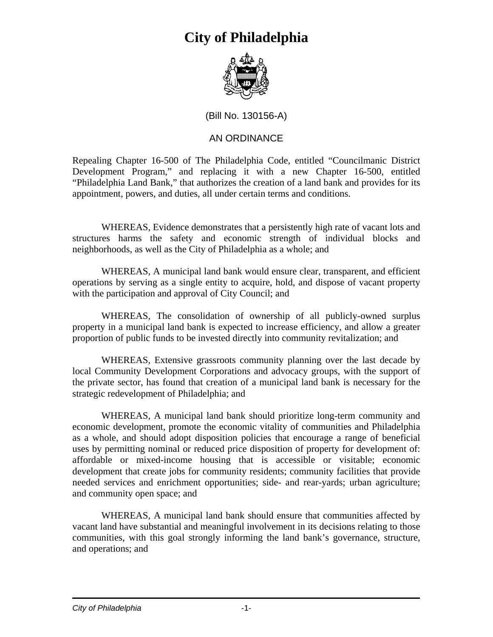

(Bill No. 130156-A)

#### AN ORDINANCE

Repealing Chapter 16-500 of The Philadelphia Code, entitled "Councilmanic District Development Program," and replacing it with a new Chapter 16-500, entitled "Philadelphia Land Bank," that authorizes the creation of a land bank and provides for its appointment, powers, and duties, all under certain terms and conditions.

WHEREAS, Evidence demonstrates that a persistently high rate of vacant lots and structures harms the safety and economic strength of individual blocks and neighborhoods, as well as the City of Philadelphia as a whole; and

WHEREAS, A municipal land bank would ensure clear, transparent, and efficient operations by serving as a single entity to acquire, hold, and dispose of vacant property with the participation and approval of City Council; and

WHEREAS, The consolidation of ownership of all publicly-owned surplus property in a municipal land bank is expected to increase efficiency, and allow a greater proportion of public funds to be invested directly into community revitalization; and

WHEREAS, Extensive grassroots community planning over the last decade by local Community Development Corporations and advocacy groups, with the support of the private sector, has found that creation of a municipal land bank is necessary for the strategic redevelopment of Philadelphia; and

WHEREAS, A municipal land bank should prioritize long-term community and economic development, promote the economic vitality of communities and Philadelphia as a whole, and should adopt disposition policies that encourage a range of beneficial uses by permitting nominal or reduced price disposition of property for development of: affordable or mixed-income housing that is accessible or visitable; economic development that create jobs for community residents; community facilities that provide needed services and enrichment opportunities; side- and rear-yards; urban agriculture; and community open space; and

WHEREAS, A municipal land bank should ensure that communities affected by vacant land have substantial and meaningful involvement in its decisions relating to those communities, with this goal strongly informing the land bank's governance, structure, and operations; and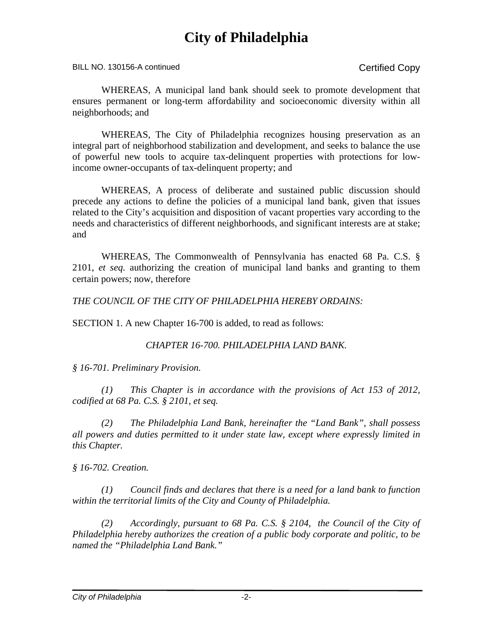BILL NO. 130156-A continued Copy

WHEREAS, A municipal land bank should seek to promote development that ensures permanent or long-term affordability and socioeconomic diversity within all neighborhoods; and

WHEREAS, The City of Philadelphia recognizes housing preservation as an integral part of neighborhood stabilization and development, and seeks to balance the use of powerful new tools to acquire tax-delinquent properties with protections for lowincome owner-occupants of tax-delinquent property; and

WHEREAS, A process of deliberate and sustained public discussion should precede any actions to define the policies of a municipal land bank, given that issues related to the City's acquisition and disposition of vacant properties vary according to the needs and characteristics of different neighborhoods, and significant interests are at stake; and

WHEREAS, The Commonwealth of Pennsylvania has enacted 68 Pa. C.S. § 2101, *et seq.* authorizing the creation of municipal land banks and granting to them certain powers; now, therefore

*THE COUNCIL OF THE CITY OF PHILADELPHIA HEREBY ORDAINS:*

SECTION 1. A new Chapter 16-700 is added, to read as follows:

#### *CHAPTER 16-700. PHILADELPHIA LAND BANK.*

*§ 16-701. Preliminary Provision.*

 *(1) This Chapter is in accordance with the provisions of Act 153 of 2012, codified at 68 Pa. C.S. § 2101, et seq.*

 *(2) The Philadelphia Land Bank, hereinafter the "Land Bank", shall possess all powers and duties permitted to it under state law, except where expressly limited in this Chapter.* 

*§ 16-702. Creation.*

 *(1) Council finds and declares that there is a need for a land bank to function within the territorial limits of the City and County of Philadelphia.*

*(2) Accordingly, pursuant to 68 Pa. C.S. § 2104, the Council of the City of Philadelphia hereby authorizes the creation of a public body corporate and politic, to be named the "Philadelphia Land Bank."*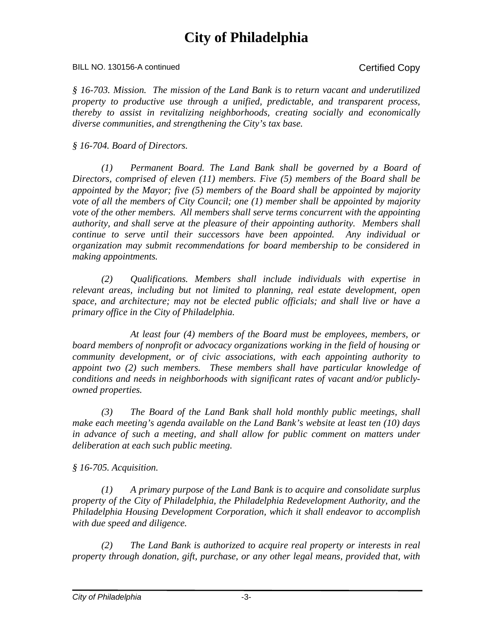BILL NO. 130156-A continued Copy

*§ 16-703. Mission. The mission of the Land Bank is to return vacant and underutilized property to productive use through a unified, predictable, and transparent process, thereby to assist in revitalizing neighborhoods, creating socially and economically diverse communities, and strengthening the City's tax base.* 

*§ 16-704. Board of Directors.*

 *(1) Permanent Board. The Land Bank shall be governed by a Board of Directors, comprised of eleven (11) members. Five (5) members of the Board shall be appointed by the Mayor; five (5) members of the Board shall be appointed by majority vote of all the members of City Council; one (1) member shall be appointed by majority vote of the other members. All members shall serve terms concurrent with the appointing authority, and shall serve at the pleasure of their appointing authority. Members shall continue to serve until their successors have been appointed. Any individual or organization may submit recommendations for board membership to be considered in making appointments.* 

*(2) Qualifications. Members shall include individuals with expertise in relevant areas, including but not limited to planning, real estate development, open space, and architecture; may not be elected public officials; and shall live or have a primary office in the City of Philadelphia.* 

*At least four (4) members of the Board must be employees, members, or board members of nonprofit or advocacy organizations working in the field of housing or community development, or of civic associations, with each appointing authority to appoint two (2) such members. These members shall have particular knowledge of conditions and needs in neighborhoods with significant rates of vacant and/or publiclyowned properties.* 

*(3) The Board of the Land Bank shall hold monthly public meetings, shall make each meeting's agenda available on the Land Bank's website at least ten (10) days in advance of such a meeting, and shall allow for public comment on matters under deliberation at each such public meeting.*

*§ 16-705. Acquisition.* 

*(1) A primary purpose of the Land Bank is to acquire and consolidate surplus property of the City of Philadelphia, the Philadelphia Redevelopment Authority, and the Philadelphia Housing Development Corporation, which it shall endeavor to accomplish with due speed and diligence.*

*(2) The Land Bank is authorized to acquire real property or interests in real property through donation, gift, purchase, or any other legal means, provided that, with*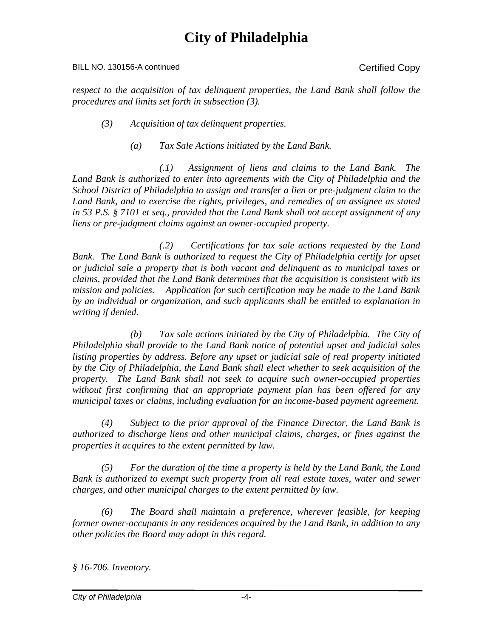#### BILL NO. 130156-A continued Copy

*respect to the acquisition of tax delinquent properties, the Land Bank shall follow the procedures and limits set forth in subsection (3).* 

- *(3) Acquisition of tax delinquent properties.* 
	- *(a) Tax Sale Actions initiated by the Land Bank.*

 *(.1) Assignment of liens and claims to the Land Bank. The Land Bank is authorized to enter into agreements with the City of Philadelphia and the School District of Philadelphia to assign and transfer a lien or pre-judgment claim to the Land Bank, and to exercise the rights, privileges, and remedies of an assignee as stated in 53 P.S. § 7101 et seq., provided that the Land Bank shall not accept assignment of any liens or pre-judgment claims against an owner-occupied property.* 

*(.2) Certifications for tax sale actions requested by the Land Bank. The Land Bank is authorized to request the City of Philadelphia certify for upset or judicial sale a property that is both vacant and delinquent as to municipal taxes or claims, provided that the Land Bank determines that the acquisition is consistent with its mission and policies. Application for such certification may be made to the Land Bank by an individual or organization, and such applicants shall be entitled to explanation in writing if denied.* 

*(b) Tax sale actions initiated by the City of Philadelphia. The City of Philadelphia shall provide to the Land Bank notice of potential upset and judicial sales*  listing properties by address. Before any upset or judicial sale of real property initiated *by the City of Philadelphia, the Land Bank shall elect whether to seek acquisition of the property. The Land Bank shall not seek to acquire such owner-occupied properties without first confirming that an appropriate payment plan has been offered for any municipal taxes or claims, including evaluation for an income-based payment agreement.* 

 *(4) Subject to the prior approval of the Finance Director, the Land Bank is authorized to discharge liens and other municipal claims, charges, or fines against the properties it acquires to the extent permitted by law.* 

*(5) For the duration of the time a property is held by the Land Bank, the Land Bank is authorized to exempt such property from all real estate taxes, water and sewer charges, and other municipal charges to the extent permitted by law.*

*(6) The Board shall maintain a preference, wherever feasible, for keeping former owner-occupants in any residences acquired by the Land Bank, in addition to any other policies the Board may adopt in this regard.* 

*§ 16-706. Inventory.*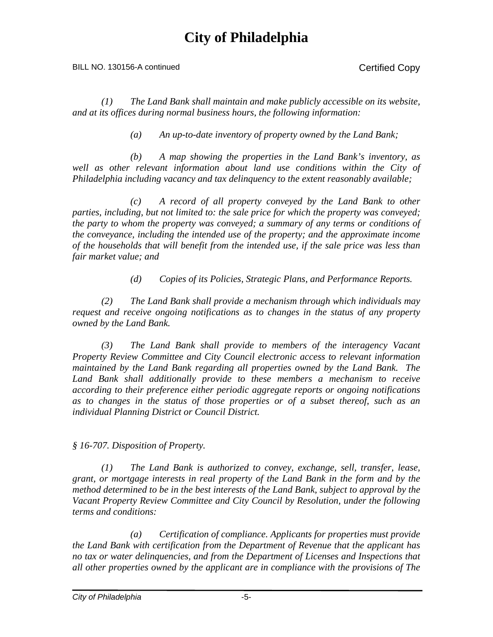#### BILL NO. 130156-A continued Copy

*(1) The Land Bank shall maintain and make publicly accessible on its website, and at its offices during normal business hours, the following information:*

 *(a) An up-to-date inventory of property owned by the Land Bank;*

*(b) A map showing the properties in the Land Bank's inventory, as*  well as other relevant information about land use conditions within the City of *Philadelphia including vacancy and tax delinquency to the extent reasonably available;* 

*(c) A record of all property conveyed by the Land Bank to other parties, including, but not limited to: the sale price for which the property was conveyed; the party to whom the property was conveyed; a summary of any terms or conditions of the conveyance, including the intended use of the property; and the approximate income of the households that will benefit from the intended use, if the sale price was less than fair market value; and* 

*(d) Copies of its Policies, Strategic Plans, and Performance Reports.*

*(2) The Land Bank shall provide a mechanism through which individuals may request and receive ongoing notifications as to changes in the status of any property owned by the Land Bank.*

*(3) The Land Bank shall provide to members of the interagency Vacant Property Review Committee and City Council electronic access to relevant information maintained by the Land Bank regarding all properties owned by the Land Bank. The*  Land Bank shall additionally provide to these members a mechanism to receive *according to their preference either periodic aggregate reports or ongoing notifications as to changes in the status of those properties or of a subset thereof, such as an individual Planning District or Council District.* 

*§ 16-707. Disposition of Property.*

*(1) The Land Bank is authorized to convey, exchange, sell, transfer, lease, grant, or mortgage interests in real property of the Land Bank in the form and by the method determined to be in the best interests of the Land Bank, subject to approval by the Vacant Property Review Committee and City Council by Resolution, under the following terms and conditions:*

*(a) Certification of compliance. Applicants for properties must provide the Land Bank with certification from the Department of Revenue that the applicant has no tax or water delinquencies, and from the Department of Licenses and Inspections that all other properties owned by the applicant are in compliance with the provisions of The*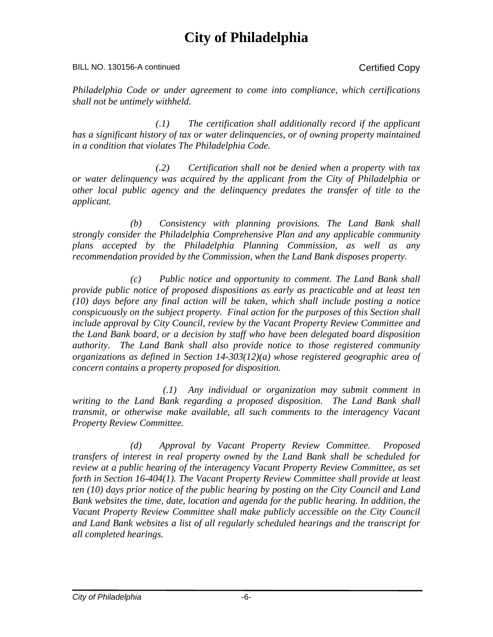BILL NO. 130156-A continued Certified Copy

*Philadelphia Code or under agreement to come into compliance, which certifications shall not be untimely withheld.* 

*(.1) The certification shall additionally record if the applicant has a significant history of tax or water delinquencies, or of owning property maintained in a condition that violates The Philadelphia Code.*

*(.2) Certification shall not be denied when a property with tax or water delinquency was acquired by the applicant from the City of Philadelphia or other local public agency and the delinquency predates the transfer of title to the applicant.*

*(b) Consistency with planning provisions. The Land Bank shall strongly consider the Philadelphia Comprehensive Plan and any applicable community plans accepted by the Philadelphia Planning Commission, as well as any recommendation provided by the Commission, when the Land Bank disposes property.* 

*(c) Public notice and opportunity to comment. The Land Bank shall provide public notice of proposed dispositions as early as practicable and at least ten (10) days before any final action will be taken, which shall include posting a notice conspicuously on the subject property. Final action for the purposes of this Section shall include approval by City Council, review by the Vacant Property Review Committee and the Land Bank board, or a decision by staff who have been delegated board disposition authority. The Land Bank shall also provide notice to those registered community organizations as defined in Section 14-303(12)(a) whose registered geographic area of concern contains a property proposed for disposition.*

*(.1) Any individual or organization may submit comment in writing to the Land Bank regarding a proposed disposition. The Land Bank shall transmit, or otherwise make available, all such comments to the interagency Vacant Property Review Committee.* 

*(d) Approval by Vacant Property Review Committee. Proposed transfers of interest in real property owned by the Land Bank shall be scheduled for review at a public hearing of the interagency Vacant Property Review Committee, as set forth in Section 16-404(1). The Vacant Property Review Committee shall provide at least ten (10) days prior notice of the public hearing by posting on the City Council and Land Bank websites the time, date, location and agenda for the public hearing. In addition, the*  Vacant Property Review Committee shall make publicly accessible on the City Council *and Land Bank websites a list of all regularly scheduled hearings and the transcript for all completed hearings.*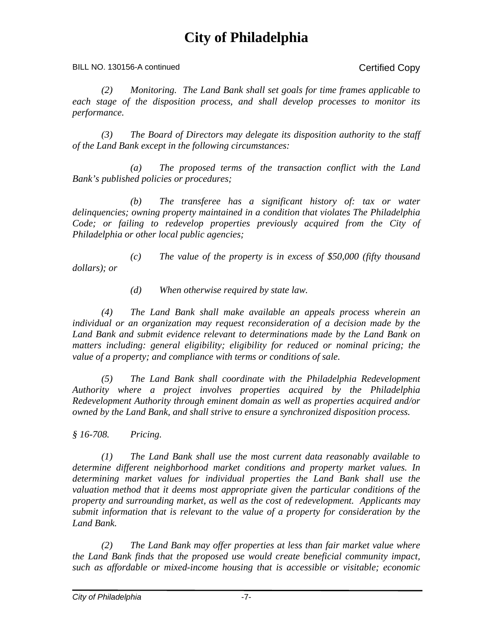BILL NO. 130156-A continued Copy

*(2) Monitoring. The Land Bank shall set goals for time frames applicable to each stage of the disposition process, and shall develop processes to monitor its performance.*

*(3) The Board of Directors may delegate its disposition authority to the staff of the Land Bank except in the following circumstances:*

*(a) The proposed terms of the transaction conflict with the Land Bank's published policies or procedures;* 

*(b) The transferee has a significant history of: tax or water delinquencies; owning property maintained in a condition that violates The Philadelphia Code; or failing to redevelop properties previously acquired from the City of Philadelphia or other local public agencies;*

*(c) The value of the property is in excess of \$50,000 (fifty thousand dollars); or*

*(d) When otherwise required by state law.* 

*(4) The Land Bank shall make available an appeals process wherein an individual or an organization may request reconsideration of a decision made by the*  Land Bank and submit evidence relevant to determinations made by the Land Bank on *matters including: general eligibility; eligibility for reduced or nominal pricing; the value of a property; and compliance with terms or conditions of sale.* 

*(5) The Land Bank shall coordinate with the Philadelphia Redevelopment Authority where a project involves properties acquired by the Philadelphia Redevelopment Authority through eminent domain as well as properties acquired and/or owned by the Land Bank, and shall strive to ensure a synchronized disposition process.*

*§ 16-708. Pricing.*

 *(1) The Land Bank shall use the most current data reasonably available to determine different neighborhood market conditions and property market values. In determining market values for individual properties the Land Bank shall use the valuation method that it deems most appropriate given the particular conditions of the property and surrounding market, as well as the cost of redevelopment. Applicants may submit information that is relevant to the value of a property for consideration by the Land Bank.*

 *(2) The Land Bank may offer properties at less than fair market value where the Land Bank finds that the proposed use would create beneficial community impact, such as affordable or mixed-income housing that is accessible or visitable; economic*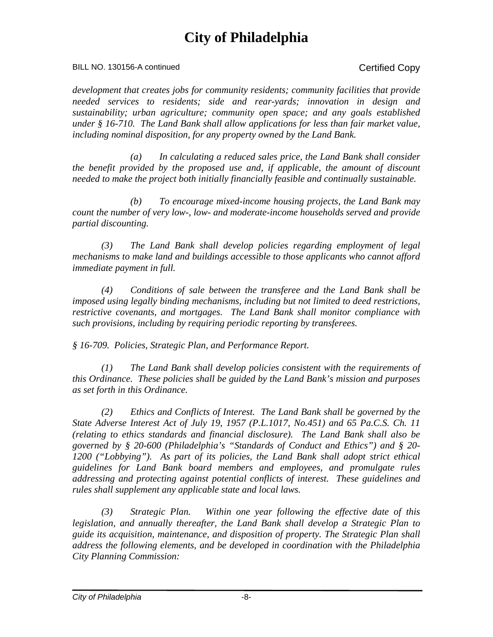BILL NO. 130156-A continued Certified Copy

*development that creates jobs for community residents; community facilities that provide needed services to residents; side and rear-yards; innovation in design and sustainability; urban agriculture; community open space; and any goals established under § 16-710. The Land Bank shall allow applications for less than fair market value, including nominal disposition, for any property owned by the Land Bank.*

 *(a) In calculating a reduced sales price, the Land Bank shall consider the benefit provided by the proposed use and, if applicable, the amount of discount needed to make the project both initially financially feasible and continually sustainable.*

 *(b) To encourage mixed-income housing projects, the Land Bank may count the number of very low-, low- and moderate-income households served and provide partial discounting.*

 *(3) The Land Bank shall develop policies regarding employment of legal mechanisms to make land and buildings accessible to those applicants who cannot afford immediate payment in full.*

 *(4) Conditions of sale between the transferee and the Land Bank shall be imposed using legally binding mechanisms, including but not limited to deed restrictions, restrictive covenants, and mortgages. The Land Bank shall monitor compliance with such provisions, including by requiring periodic reporting by transferees.*

*§ 16-709. Policies, Strategic Plan, and Performance Report.*

*(1) The Land Bank shall develop policies consistent with the requirements of this Ordinance. These policies shall be guided by the Land Bank's mission and purposes as set forth in this Ordinance.* 

 *(2) Ethics and Conflicts of Interest. The Land Bank shall be governed by the State Adverse Interest Act of July 19, 1957 (P.L.1017, No.451) and 65 Pa.C.S. Ch. 11 (relating to ethics standards and financial disclosure). The Land Bank shall also be governed by § 20-600 (Philadelphia's "Standards of Conduct and Ethics") and § 20- 1200 ("Lobbying"). As part of its policies, the Land Bank shall adopt strict ethical guidelines for Land Bank board members and employees, and promulgate rules addressing and protecting against potential conflicts of interest. These guidelines and rules shall supplement any applicable state and local laws.* 

 *(3) Strategic Plan. Within one year following the effective date of this legislation, and annually thereafter, the Land Bank shall develop a Strategic Plan to guide its acquisition, maintenance, and disposition of property. The Strategic Plan shall address the following elements, and be developed in coordination with the Philadelphia City Planning Commission:*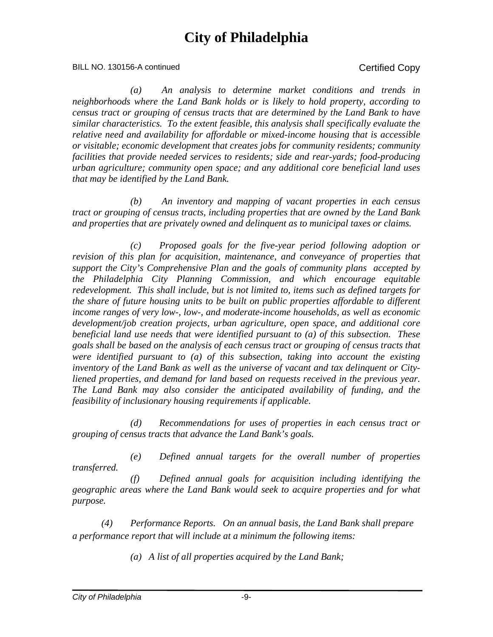BILL NO. 130156-A continued Certified Copy

*(a) An analysis to determine market conditions and trends in neighborhoods where the Land Bank holds or is likely to hold property, according to census tract or grouping of census tracts that are determined by the Land Bank to have similar characteristics. To the extent feasible, this analysis shall specifically evaluate the relative need and availability for affordable or mixed-income housing that is accessible or visitable; economic development that creates jobs for community residents; community facilities that provide needed services to residents; side and rear-yards; food-producing urban agriculture; community open space; and any additional core beneficial land uses that may be identified by the Land Bank.* 

*(b) An inventory and mapping of vacant properties in each census tract or grouping of census tracts, including properties that are owned by the Land Bank and properties that are privately owned and delinquent as to municipal taxes or claims.*

*(c) Proposed goals for the five-year period following adoption or revision of this plan for acquisition, maintenance, and conveyance of properties that support the City's Comprehensive Plan and the goals of community plans accepted by the Philadelphia City Planning Commission, and which encourage equitable redevelopment. This shall include, but is not limited to, items such as defined targets for the share of future housing units to be built on public properties affordable to different income ranges of very low-, low-, and moderate-income households, as well as economic development/job creation projects, urban agriculture, open space, and additional core beneficial land use needs that were identified pursuant to (a) of this subsection. These goals shall be based on the analysis of each census tract or grouping of census tracts that were identified pursuant to (a) of this subsection, taking into account the existing inventory of the Land Bank as well as the universe of vacant and tax delinquent or Cityliened properties, and demand for land based on requests received in the previous year. The Land Bank may also consider the anticipated availability of funding, and the feasibility of inclusionary housing requirements if applicable.*

*(d) Recommendations for uses of properties in each census tract or grouping of census tracts that advance the Land Bank's goals.* 

*(e) Defined annual targets for the overall number of properties transferred.* 

*(f) Defined annual goals for acquisition including identifying the geographic areas where the Land Bank would seek to acquire properties and for what purpose.* 

*(4) Performance Reports. On an annual basis, the Land Bank shall prepare a performance report that will include at a minimum the following items:* 

*(a) A list of all properties acquired by the Land Bank;*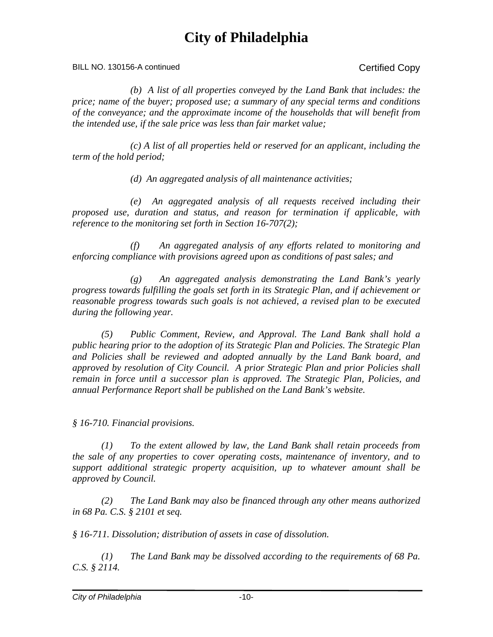BILL NO. 130156-A continued Certified Copy

*(b) A list of all properties conveyed by the Land Bank that includes: the price; name of the buyer; proposed use; a summary of any special terms and conditions of the conveyance; and the approximate income of the households that will benefit from the intended use, if the sale price was less than fair market value;* 

*(c) A list of all properties held or reserved for an applicant, including the term of the hold period;* 

*(d) An aggregated analysis of all maintenance activities;* 

*(e) An aggregated analysis of all requests received including their proposed use, duration and status, and reason for termination if applicable, with reference to the monitoring set forth in Section 16-707(2);* 

*(f) An aggregated analysis of any efforts related to monitoring and enforcing compliance with provisions agreed upon as conditions of past sales; and* 

*(g) An aggregated analysis demonstrating the Land Bank's yearly progress towards fulfilling the goals set forth in its Strategic Plan, and if achievement or reasonable progress towards such goals is not achieved, a revised plan to be executed during the following year.*

*(5) Public Comment, Review, and Approval. The Land Bank shall hold a public hearing prior to the adoption of its Strategic Plan and Policies. The Strategic Plan and Policies shall be reviewed and adopted annually by the Land Bank board, and approved by resolution of City Council. A prior Strategic Plan and prior Policies shall remain in force until a successor plan is approved. The Strategic Plan, Policies, and annual Performance Report shall be published on the Land Bank's website.* 

*§ 16-710. Financial provisions.*

*(1) To the extent allowed by law, the Land Bank shall retain proceeds from the sale of any properties to cover operating costs, maintenance of inventory, and to support additional strategic property acquisition, up to whatever amount shall be approved by Council.* 

*(2) The Land Bank may also be financed through any other means authorized in 68 Pa. C.S. § 2101 et seq.* 

*§ 16-711. Dissolution; distribution of assets in case of dissolution.*

 *(1) The Land Bank may be dissolved according to the requirements of 68 Pa. C.S. § 2114.*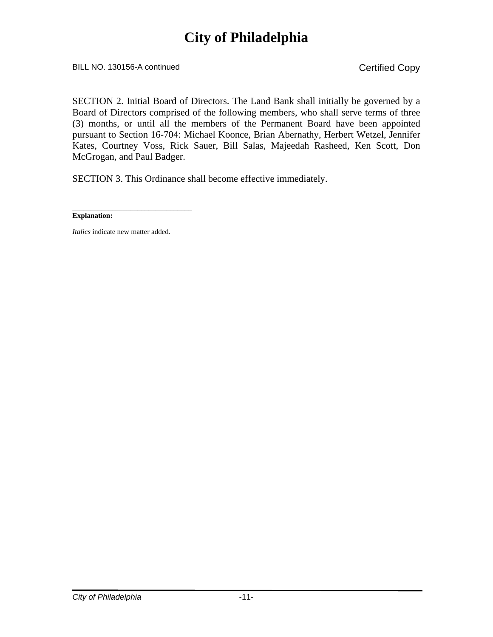BILL NO. 130156-A continued Copy

SECTION 2. Initial Board of Directors. The Land Bank shall initially be governed by a Board of Directors comprised of the following members, who shall serve terms of three (3) months, or until all the members of the Permanent Board have been appointed pursuant to Section 16-704: Michael Koonce, Brian Abernathy, Herbert Wetzel, Jennifer Kates, Courtney Voss, Rick Sauer, Bill Salas, Majeedah Rasheed, Ken Scott, Don McGrogan, and Paul Badger.

SECTION 3. This Ordinance shall become effective immediately.

\_\_\_\_\_\_\_\_\_\_\_\_\_\_\_\_\_\_\_\_\_\_\_\_\_\_\_\_\_\_\_\_\_ **Explanation:**

*Italics* indicate new matter added.